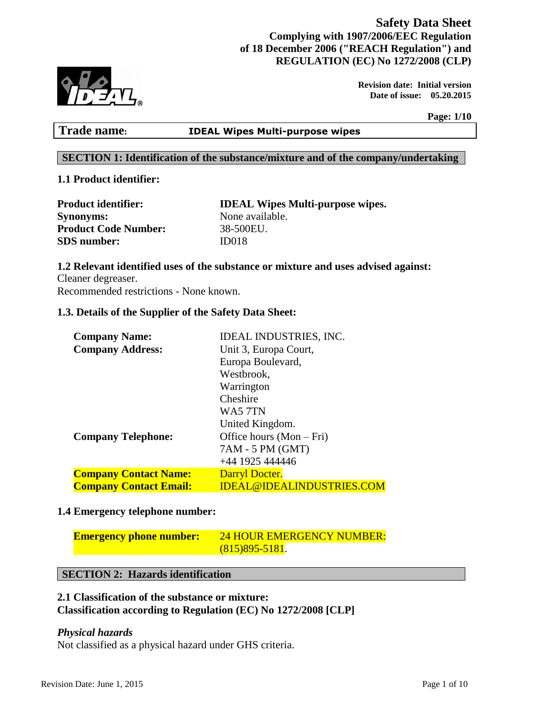# **Safety Data Sheet Complying with 1907/2006/EEC Regulation of 18 December 2006 ("REACH Regulation") and REGULATION (EC) No 1272/2008 (CLP)**



 **Revision date: Initial version Date of issue: 05.20.2015** 

**Page: 1/10**

# **Trade name: IDEAL Wipes Multi-purpose wipes**

# **SECTION 1: Identification of the substance/mixture and of the company/undertaking**

# **1.1 Product identifier:**

| <b>Product identifier:</b>  | <b>IDEAL Wipes Multi-purpose wipes.</b> |
|-----------------------------|-----------------------------------------|
| <b>Synonyms:</b>            | None available.                         |
| <b>Product Code Number:</b> | 38-500EU.                               |
| <b>SDS</b> number:          | ID <sub>018</sub>                       |

# **1.2 Relevant identified uses of the substance or mixture and uses advised against:**

Cleaner degreaser. Recommended restrictions - None known.

### **1.3. Details of the Supplier of the Safety Data Sheet:**

| <b>Company Name:</b>          | <b>IDEAL INDUSTRIES, INC.</b>    |  |
|-------------------------------|----------------------------------|--|
| <b>Company Address:</b>       | Unit 3, Europa Court,            |  |
|                               | Europa Boulevard,                |  |
|                               | Westbrook,                       |  |
|                               | Warrington                       |  |
|                               | Cheshire                         |  |
|                               | WA5 7TN                          |  |
|                               | United Kingdom.                  |  |
| <b>Company Telephone:</b>     | Office hours $(Mon-Fri)$         |  |
|                               | 7AM - 5 PM (GMT)                 |  |
|                               | +44 1925 444446                  |  |
| <b>Company Contact Name:</b>  | Darryl Docter.                   |  |
| <b>Company Contact Email:</b> | <u>IDEAL@IDEALINDUSTRIES.COM</u> |  |

# **1.4 Emergency telephone number:**

| <b>Emergency phone number:</b> | 24 HOUR EMERGENCY NUMBER: |  |
|--------------------------------|---------------------------|--|
|                                | $(815)895 - 5181.$        |  |

# **SECTION 2: Hazards identification**

### **2.1 Classification of the substance or mixture: Classification according to Regulation (EC) No 1272/2008 [CLP]**

#### *Physical hazards*

Not classified as a physical hazard under GHS criteria.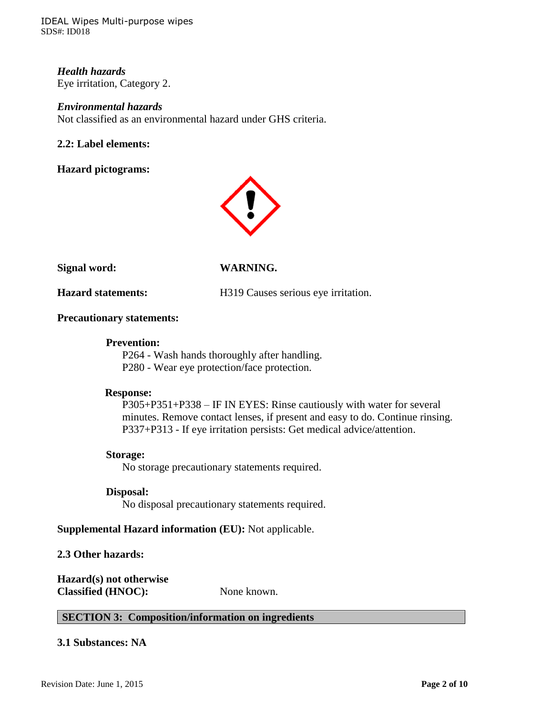IDEAL Wipes Multi-purpose wipes SDS#: ID018

# *Health hazards* Eye irritation, Category 2.

#### *Environmental hazards*

Not classified as an environmental hazard under GHS criteria.

### **2.2: Label elements:**

**Hazard pictograms:**



**Signal word: WARNING.**

**Hazard statements:** H319 Causes serious eye irritation.

#### **Precautionary statements:**

#### **Prevention:**

P264 - Wash hands thoroughly after handling. P280 - Wear eye protection/face protection.

#### **Response:**

P305+P351+P338 – IF IN EYES: Rinse cautiously with water for several minutes. Remove contact lenses, if present and easy to do. Continue rinsing. P337+P313 - If eye irritation persists: Get medical advice/attention.

#### **Storage:**

No storage precautionary statements required.

#### **Disposal:**

No disposal precautionary statements required.

#### **Supplemental Hazard information (EU):** Not applicable.

#### **2.3 Other hazards:**

**Hazard(s) not otherwise Classified (HNOC):** None known.

# **SECTION 3: Composition/information on ingredients**

### **3.1 Substances: NA**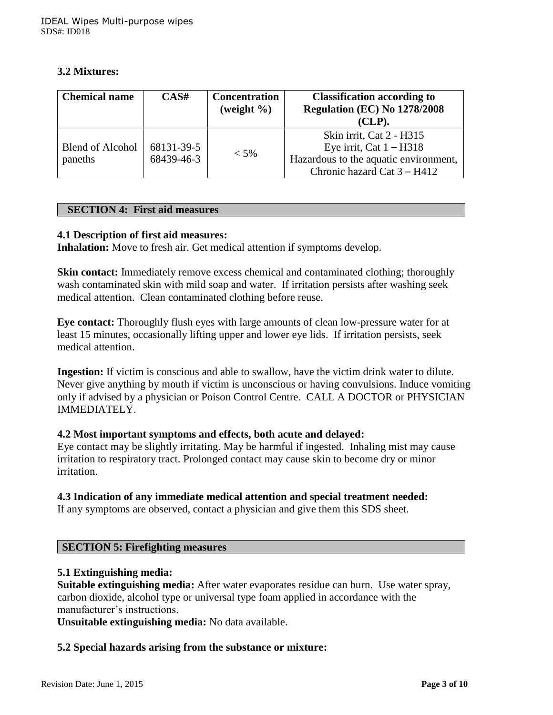# **3.2 Mixtures:**

| <b>Chemical name</b>               | CAS#                     | <b>Concentration</b><br>(weight $\%$ ) | <b>Classification according to</b><br>Regulation (EC) No 1278/2008<br>$CLP$ ).                                                |
|------------------------------------|--------------------------|----------------------------------------|-------------------------------------------------------------------------------------------------------------------------------|
| <b>Blend of Alcohol</b><br>paneths | 68131-39-5<br>68439-46-3 | $< 5\%$                                | Skin irrit, Cat 2 - H315<br>Eye irrit, Cat $1 - H318$<br>Hazardous to the aquatic environment,<br>Chronic hazard Cat 3 – H412 |

# **SECTION 4: First aid measures**

# **4.1 Description of first aid measures:**

**Inhalation:** Move to fresh air. Get medical attention if symptoms develop.

**Skin contact:** Immediately remove excess chemical and contaminated clothing; thoroughly wash contaminated skin with mild soap and water. If irritation persists after washing seek medical attention. Clean contaminated clothing before reuse.

**Eye contact:** Thoroughly flush eyes with large amounts of clean low-pressure water for at least 15 minutes, occasionally lifting upper and lower eye lids. If irritation persists, seek medical attention.

**Ingestion:** If victim is conscious and able to swallow, have the victim drink water to dilute. Never give anything by mouth if victim is unconscious or having convulsions. Induce vomiting only if advised by a physician or Poison Control Centre. CALL A DOCTOR or PHYSICIAN IMMEDIATELY.

# **4.2 Most important symptoms and effects, both acute and delayed:**

Eye contact may be slightly irritating. May be harmful if ingested. Inhaling mist may cause irritation to respiratory tract. Prolonged contact may cause skin to become dry or minor irritation.

# **4.3 Indication of any immediate medical attention and special treatment needed:**

If any symptoms are observed, contact a physician and give them this SDS sheet.

# **SECTION 5: Firefighting measures**

#### **5.1 Extinguishing media:**

**Suitable extinguishing media:** After water evaporates residue can burn. Use water spray, carbon dioxide, alcohol type or universal type foam applied in accordance with the manufacturer's instructions.

**Unsuitable extinguishing media:** No data available.

# **5.2 Special hazards arising from the substance or mixture:**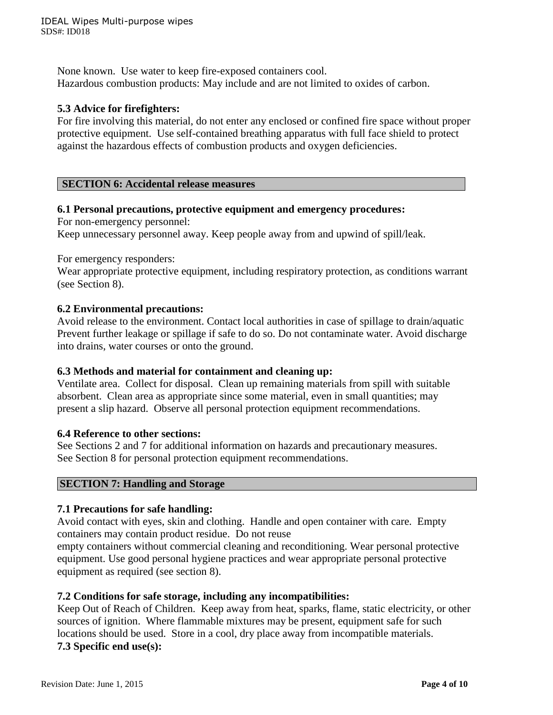None known. Use water to keep fire-exposed containers cool. Hazardous combustion products: May include and are not limited to oxides of carbon.

# **5.3 Advice for firefighters:**

For fire involving this material, do not enter any enclosed or confined fire space without proper protective equipment. Use self-contained breathing apparatus with full face shield to protect against the hazardous effects of combustion products and oxygen deficiencies.

# **SECTION 6: Accidental release measures**

# **6.1 Personal precautions, protective equipment and emergency procedures:**

For non-emergency personnel:

Keep unnecessary personnel away. Keep people away from and upwind of spill/leak.

For emergency responders:

Wear appropriate protective equipment, including respiratory protection, as conditions warrant (see Section 8).

### **6.2 Environmental precautions:**

Avoid release to the environment. Contact local authorities in case of spillage to drain/aquatic Prevent further leakage or spillage if safe to do so. Do not contaminate water. Avoid discharge into drains, water courses or onto the ground.

# **6.3 Methods and material for containment and cleaning up:**

Ventilate area. Collect for disposal. Clean up remaining materials from spill with suitable absorbent. Clean area as appropriate since some material, even in small quantities; may present a slip hazard. Observe all personal protection equipment recommendations.

#### **6.4 Reference to other sections:**

See Sections 2 and 7 for additional information on hazards and precautionary measures. See Section 8 for personal protection equipment recommendations.

#### **SECTION 7: Handling and Storage**

# **7.1 Precautions for safe handling:**

Avoid contact with eyes, skin and clothing. Handle and open container with care. Empty containers may contain product residue. Do not reuse

empty containers without commercial cleaning and reconditioning. Wear personal protective equipment. Use good personal hygiene practices and wear appropriate personal protective equipment as required (see section 8).

# **7.2 Conditions for safe storage, including any incompatibilities:**

Keep Out of Reach of Children. Keep away from heat, sparks, flame, static electricity, or other sources of ignition. Where flammable mixtures may be present, equipment safe for such locations should be used. Store in a cool, dry place away from incompatible materials. **7.3 Specific end use(s):**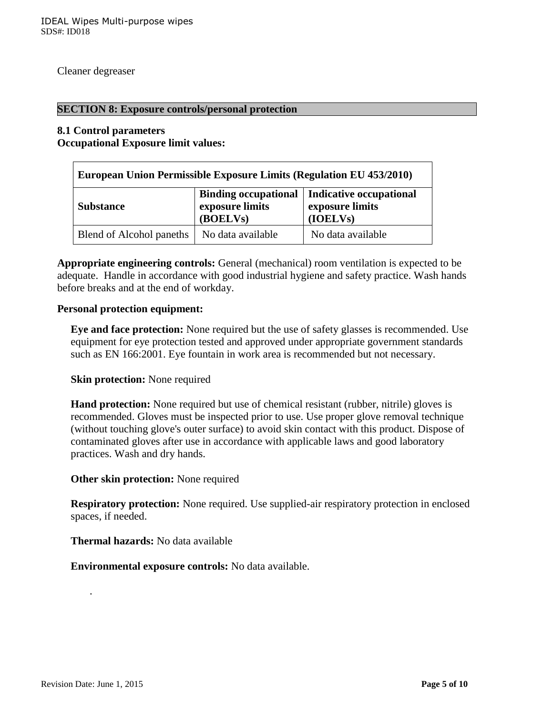Cleaner degreaser

#### **SECTION 8: Exposure controls/personal protection**

#### **8.1 Control parameters Occupational Exposure limit values:**

| European Union Permissible Exposure Limits (Regulation EU 453/2010) |                             |                                                                                      |
|---------------------------------------------------------------------|-----------------------------|--------------------------------------------------------------------------------------|
| <b>Substance</b>                                                    | exposure limits<br>(BOELVs) | <b>Binding occupational   Indicative occupational</b><br>exposure limits<br>(IOELVs) |
| Blend of Alcohol paneths                                            | No data available           | No data available                                                                    |

**Appropriate engineering controls:** General (mechanical) room ventilation is expected to be adequate. Handle in accordance with good industrial hygiene and safety practice. Wash hands before breaks and at the end of workday.

#### **Personal protection equipment:**

**Eye and face protection:** None required but the use of safety glasses is recommended. Use equipment for eye protection tested and approved under appropriate government standards such as EN 166:2001. Eye fountain in work area is recommended but not necessary.

#### **Skin protection:** None required

**Hand protection:** None required but use of chemical resistant (rubber, nitrile) gloves is recommended. Gloves must be inspected prior to use. Use proper glove removal technique (without touching glove's outer surface) to avoid skin contact with this product. Dispose of contaminated gloves after use in accordance with applicable laws and good laboratory practices. Wash and dry hands.

#### **Other skin protection:** None required

**Respiratory protection:** None required. Use supplied-air respiratory protection in enclosed spaces, if needed.

**Thermal hazards:** No data available

 **Environmental exposure controls:** No data available.

.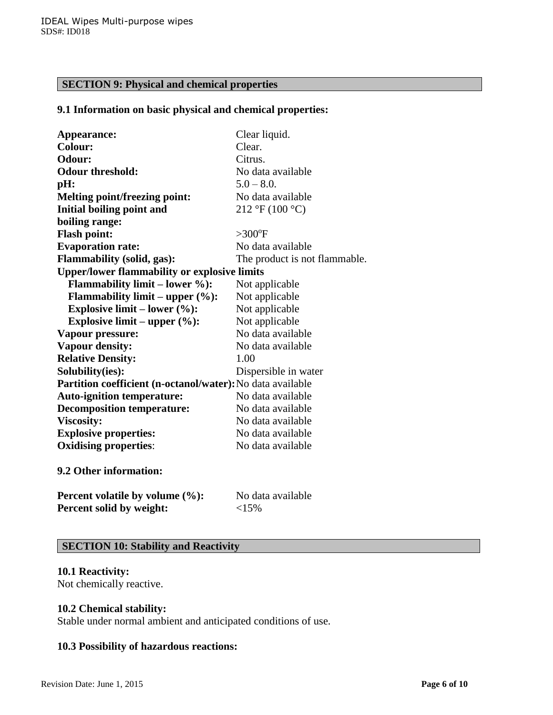# **SECTION 9: Physical and chemical properties**

### **9.1 Information on basic physical and chemical properties:**

| Appearance:                                                | Clear liquid.                                  |
|------------------------------------------------------------|------------------------------------------------|
| <b>Colour:</b>                                             | Clear.                                         |
| Odour:                                                     | Citrus.                                        |
| <b>Odour threshold:</b>                                    | No data available                              |
| pH:                                                        | $5.0 - 8.0$                                    |
| <b>Melting point/freezing point:</b>                       | No data available                              |
| <b>Initial boiling point and</b>                           | $212 \text{ }^{\circ}F(100 \text{ }^{\circ}C)$ |
| boiling range:                                             |                                                |
| <b>Flash point:</b>                                        | $>300$ <sup>o</sup> F                          |
| <b>Evaporation rate:</b>                                   | No data available                              |
| <b>Flammability (solid, gas):</b>                          | The product is not flammable.                  |
| <b>Upper/lower flammability or explosive limits</b>        |                                                |
| <b>Flammability limit – lower %):</b>                      | Not applicable                                 |
| <b>Flammability limit – upper <math>(\%):</math></b>       | Not applicable                                 |
| Explosive limit – lower $(\%):$                            | Not applicable                                 |
| Explosive limit – upper $(\%):$                            | Not applicable                                 |
| Vapour pressure:                                           | No data available                              |
| <b>Vapour density:</b>                                     | No data available                              |
| <b>Relative Density:</b>                                   | 1.00                                           |
| Solubility(ies):                                           | Dispersible in water                           |
| Partition coefficient (n-octanol/water): No data available |                                                |
| <b>Auto-ignition temperature:</b>                          | No data available                              |
| <b>Decomposition temperature:</b>                          | No data available                              |
| <b>Viscosity:</b>                                          | No data available                              |
| <b>Explosive properties:</b>                               | No data available                              |
| <b>Oxidising properties:</b>                               | No data available                              |
| 9.2 Other information:                                     |                                                |
| Percent volatile by volume (%):                            | No data available                              |
| Percent solid by weight:                                   | <15%                                           |

# **SECTION 10: Stability and Reactivity**

#### **10.1 Reactivity:**

Not chemically reactive.

# **10.2 Chemical stability:**

Stable under normal ambient and anticipated conditions of use.

# **10.3 Possibility of hazardous reactions:**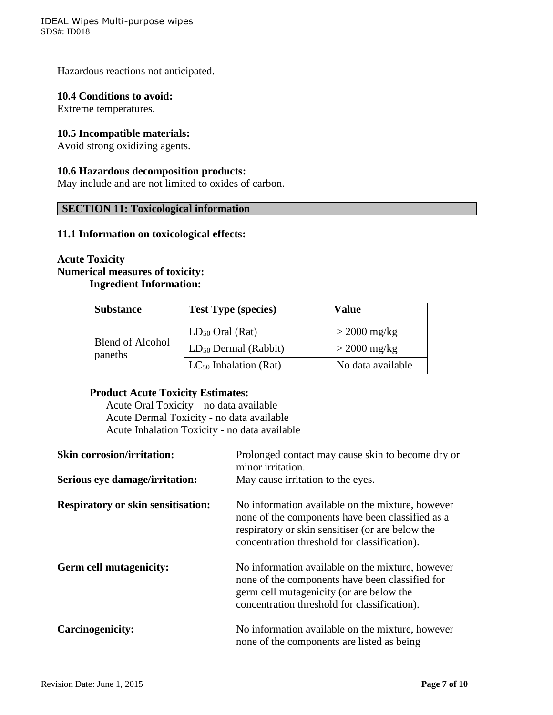Hazardous reactions not anticipated.

#### **10.4 Conditions to avoid:**

Extreme temperatures.

# **10.5 Incompatible materials:**

Avoid strong oxidizing agents.

#### **10.6 Hazardous decomposition products:**

May include and are not limited to oxides of carbon.

# **SECTION 11: Toxicological information**

#### **11.1 Information on toxicological effects:**

# **Acute Toxicity Numerical measures of toxicity:**

# **Ingredient Information:**

| <b>Substance</b>                   | <b>Test Type (species)</b> | <b>Value</b>      |
|------------------------------------|----------------------------|-------------------|
| <b>Blend of Alcohol</b><br>paneths | $LD_{50}$ Oral (Rat)       | $>$ 2000 mg/kg    |
|                                    | $LD_{50}$ Dermal (Rabbit)  | $>$ 2000 mg/kg    |
|                                    | $LC_{50}$ Inhalation (Rat) | No data available |

#### **Product Acute Toxicity Estimates:**

Acute Oral Toxicity – no data available Acute Dermal Toxicity - no data available Acute Inhalation Toxicity - no data available

| <b>Skin corrosion/irritation:</b>         | Prolonged contact may cause skin to become dry or<br>minor irritation.                                                                                                                                   |
|-------------------------------------------|----------------------------------------------------------------------------------------------------------------------------------------------------------------------------------------------------------|
| Serious eye damage/irritation:            | May cause irritation to the eyes.                                                                                                                                                                        |
| <b>Respiratory or skin sensitisation:</b> | No information available on the mixture, however<br>none of the components have been classified as a<br>respiratory or skin sensitiser (or are below the<br>concentration threshold for classification). |
| <b>Germ cell mutagenicity:</b>            | No information available on the mixture, however<br>none of the components have been classified for<br>germ cell mutagenicity (or are below the<br>concentration threshold for classification).          |
| <b>Carcinogenicity:</b>                   | No information available on the mixture, however<br>none of the components are listed as being                                                                                                           |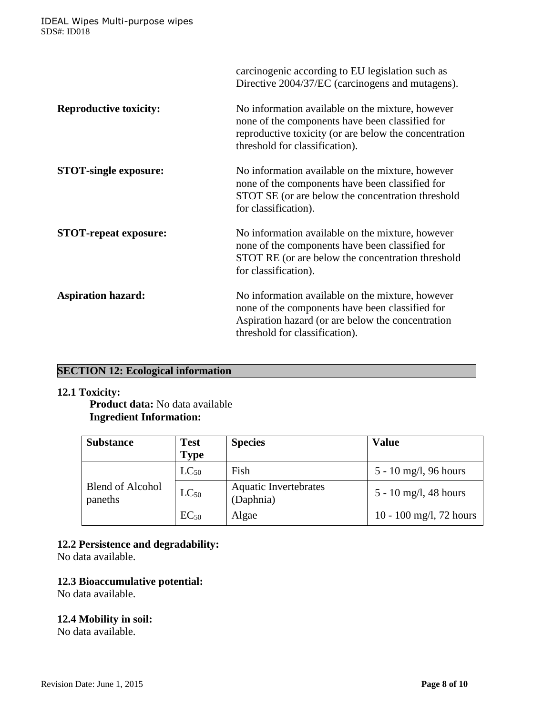|                               | carcinogenic according to EU legislation such as<br>Directive 2004/37/EC (carcinogens and mutagens).                                                                                           |
|-------------------------------|------------------------------------------------------------------------------------------------------------------------------------------------------------------------------------------------|
| <b>Reproductive toxicity:</b> | No information available on the mixture, however<br>none of the components have been classified for<br>reproductive toxicity (or are below the concentration<br>threshold for classification). |
| <b>STOT-single exposure:</b>  | No information available on the mixture, however<br>none of the components have been classified for<br>STOT SE (or are below the concentration threshold<br>for classification).               |
| <b>STOT-repeat exposure:</b>  | No information available on the mixture, however<br>none of the components have been classified for<br>STOT RE (or are below the concentration threshold<br>for classification).               |
| <b>Aspiration hazard:</b>     | No information available on the mixture, however<br>none of the components have been classified for<br>Aspiration hazard (or are below the concentration<br>threshold for classification).     |

# **SECTION 12: Ecological information**

# **12.1 Toxicity:**

**Product data:** No data available **Ingredient Information:**

| <b>Substance</b>            | <b>Test</b><br><b>Type</b> | <b>Species</b>                            | <b>Value</b>            |
|-----------------------------|----------------------------|-------------------------------------------|-------------------------|
|                             | $LC_{50}$                  | Fish                                      | 5 - 10 mg/l, 96 hours   |
| Blend of Alcohol<br>paneths | $LC_{50}$                  | <b>Aquatic Invertebrates</b><br>(Daphnia) | 5 - 10 mg/l, 48 hours   |
|                             | $EC_{50}$                  | Algae                                     | 10 - 100 mg/l, 72 hours |

# **12.2 Persistence and degradability:**

No data available.

# **12.3 Bioaccumulative potential:**

No data available.

# **12.4 Mobility in soil:**

No data available.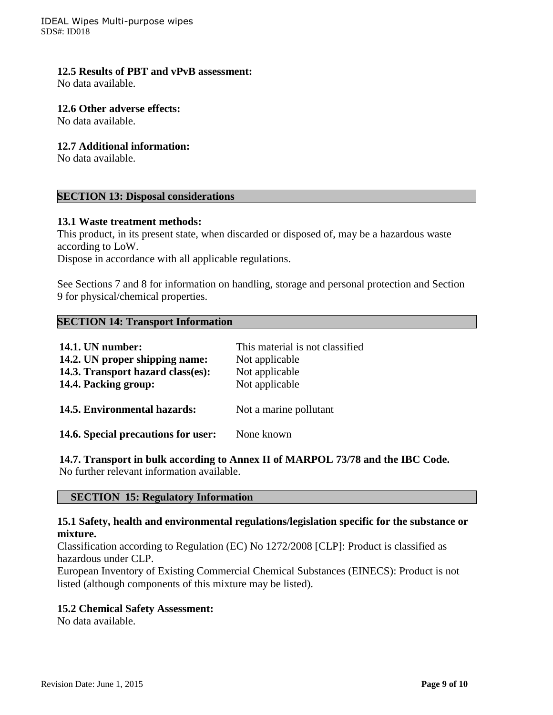IDEAL Wipes Multi-purpose wipes SDS#: ID018

#### **12.5 Results of PBT and vPvB assessment:**

No data available.

#### **12.6 Other adverse effects:**

No data available.

#### **12.7 Additional information:**

No data available.

# **SECTION 13: Disposal considerations**

#### **13.1 Waste treatment methods:**

This product, in its present state, when discarded or disposed of, may be a hazardous waste according to LoW.

Dispose in accordance with all applicable regulations.

See Sections 7 and 8 for information on handling, storage and personal protection and Section 9 for physical/chemical properties.

#### **SECTION 14: Transport Information**

| <b>14.1. UN number:</b><br>14.2. UN proper shipping name:<br>14.3. Transport hazard class(es):<br>14.4. Packing group: | This material is not classified<br>Not applicable<br>Not applicable<br>Not applicable |
|------------------------------------------------------------------------------------------------------------------------|---------------------------------------------------------------------------------------|
| 14.5. Environmental hazards:                                                                                           | Not a marine pollutant                                                                |
| 14.6. Special precautions for user:                                                                                    | None known                                                                            |

**14.7. Transport in bulk according to Annex II of MARPOL 73/78 and the IBC Code.** No further relevant information available.

# **SECTION 15: Regulatory Information**

#### **15.1 Safety, health and environmental regulations/legislation specific for the substance or mixture.**

Classification according to Regulation (EC) No 1272/2008 [CLP]: Product is classified as hazardous under CLP.

European Inventory of Existing Commercial Chemical Substances (EINECS): Product is not listed (although components of this mixture may be listed).

#### **15.2 Chemical Safety Assessment:**

No data available.